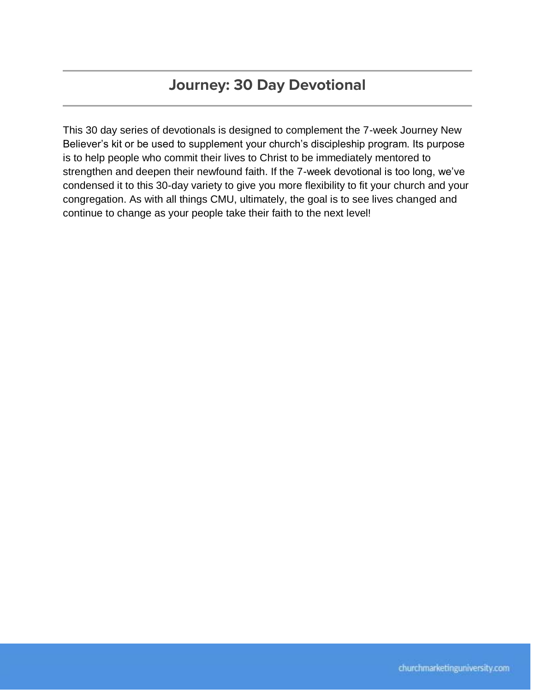# **Journey: 30 Day Devotional**

This 30 day series of devotionals is designed to complement the 7-week Journey New Believer's kit or be used to supplement your church's discipleship program. Its purpose is to help people who commit their lives to Christ to be immediately mentored to strengthen and deepen their newfound faith. If the 7-week devotional is too long, we've condensed it to this 30-day variety to give you more flexibility to fit your church and your congregation. As with all things CMU, ultimately, the goal is to see lives changed and continue to change as your people take their faith to the next level!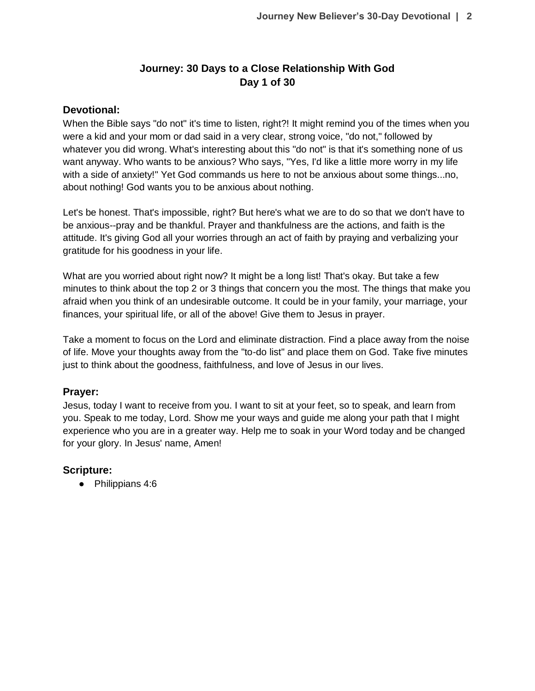# **Journey: 30 Days to a Close Relationship With God Day 1 of 30**

### **Devotional:**

When the Bible says "do not" it's time to listen, right?! It might remind you of the times when you were a kid and your mom or dad said in a very clear, strong voice, "do not," followed by whatever you did wrong. What's interesting about this "do not" is that it's something none of us want anyway. Who wants to be anxious? Who says, "Yes, I'd like a little more worry in my life with a side of anxiety!" Yet God commands us here to not be anxious about some things...no, about nothing! God wants you to be anxious about nothing.

Let's be honest. That's impossible, right? But here's what we are to do so that we don't have to be anxious--pray and be thankful. Prayer and thankfulness are the actions, and faith is the attitude. It's giving God all your worries through an act of faith by praying and verbalizing your gratitude for his goodness in your life.

What are you worried about right now? It might be a long list! That's okay. But take a few minutes to think about the top 2 or 3 things that concern you the most. The things that make you afraid when you think of an undesirable outcome. It could be in your family, your marriage, your finances, your spiritual life, or all of the above! Give them to Jesus in prayer.

Take a moment to focus on the Lord and eliminate distraction. Find a place away from the noise of life. Move your thoughts away from the "to-do list" and place them on God. Take five minutes just to think about the goodness, faithfulness, and love of Jesus in our lives.

# **Prayer:**

Jesus, today I want to receive from you. I want to sit at your feet, so to speak, and learn from you. Speak to me today, Lord. Show me your ways and guide me along your path that I might experience who you are in a greater way. Help me to soak in your Word today and be changed for your glory. In Jesus' name, Amen!

# **Scripture:**

● Philippians 4:6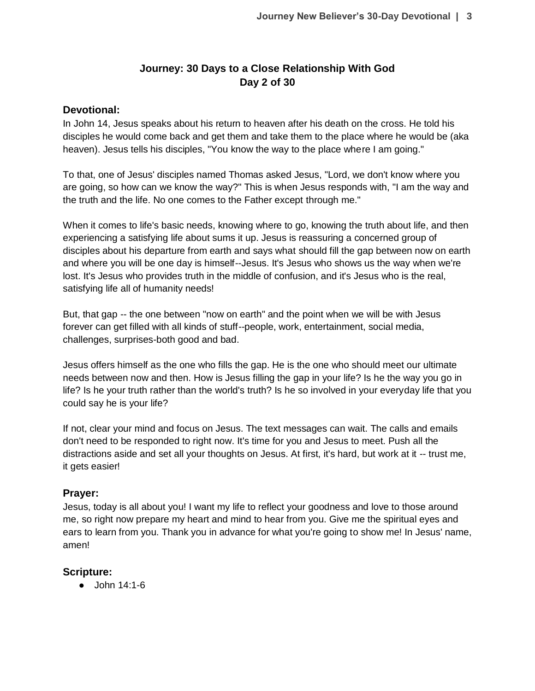# **Journey: 30 Days to a Close Relationship With God Day 2 of 30**

### **Devotional:**

In John 14, Jesus speaks about his return to heaven after his death on the cross. He told his disciples he would come back and get them and take them to the place where he would be (aka heaven). Jesus tells his disciples, "You know the way to the place where I am going."

To that, one of Jesus' disciples named Thomas asked Jesus, "Lord, we don't know where you are going, so how can we know the way?" This is when Jesus responds with, "I am the way and the truth and the life. No one comes to the Father except through me."

When it comes to life's basic needs, knowing where to go, knowing the truth about life, and then experiencing a satisfying life about sums it up. Jesus is reassuring a concerned group of disciples about his departure from earth and says what should fill the gap between now on earth and where you will be one day is himself--Jesus. It's Jesus who shows us the way when we're lost. It's Jesus who provides truth in the middle of confusion, and it's Jesus who is the real, satisfying life all of humanity needs!

But, that gap -- the one between "now on earth" and the point when we will be with Jesus forever can get filled with all kinds of stuff--people, work, entertainment, social media, challenges, surprises-both good and bad.

Jesus offers himself as the one who fills the gap. He is the one who should meet our ultimate needs between now and then. How is Jesus filling the gap in your life? Is he the way you go in life? Is he your truth rather than the world's truth? Is he so involved in your everyday life that you could say he is your life?

If not, clear your mind and focus on Jesus. The text messages can wait. The calls and emails don't need to be responded to right now. It's time for you and Jesus to meet. Push all the distractions aside and set all your thoughts on Jesus. At first, it's hard, but work at it -- trust me, it gets easier!

### **Prayer:**

Jesus, today is all about you! I want my life to reflect your goodness and love to those around me, so right now prepare my heart and mind to hear from you. Give me the spiritual eyes and ears to learn from you. Thank you in advance for what you're going to show me! In Jesus' name, amen!

# **Scripture:**

 $\bullet$  John 14:1-6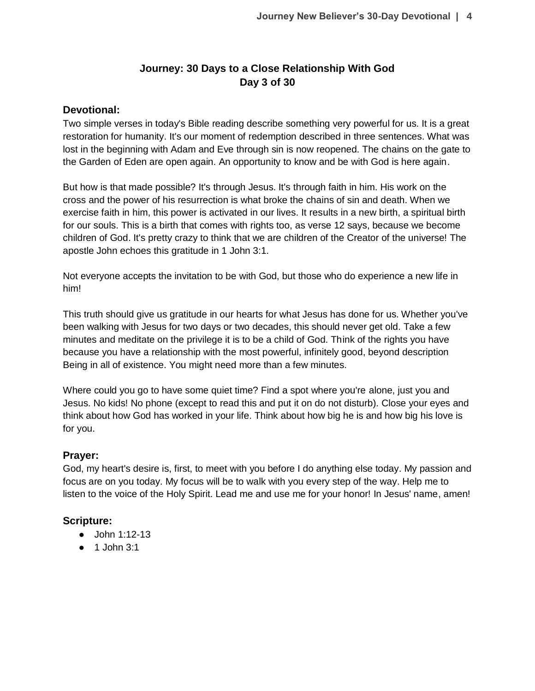# **Journey: 30 Days to a Close Relationship With God Day 3 of 30**

### **Devotional:**

Two simple verses in today's Bible reading describe something very powerful for us. It is a great restoration for humanity. It's our moment of redemption described in three sentences. What was lost in the beginning with Adam and Eve through sin is now reopened. The chains on the gate to the Garden of Eden are open again. An opportunity to know and be with God is here again.

But how is that made possible? It's through Jesus. It's through faith in him. His work on the cross and the power of his resurrection is what broke the chains of sin and death. When we exercise faith in him, this power is activated in our lives. It results in a new birth, a spiritual birth for our souls. This is a birth that comes with rights too, as verse 12 says, because we become children of God. It's pretty crazy to think that we are children of the Creator of the universe! The apostle John echoes this gratitude in 1 John 3:1.

Not everyone accepts the invitation to be with God, but those who do experience a new life in him!

This truth should give us gratitude in our hearts for what Jesus has done for us. Whether you've been walking with Jesus for two days or two decades, this should never get old. Take a few minutes and meditate on the privilege it is to be a child of God. Think of the rights you have because you have a relationship with the most powerful, infinitely good, beyond description Being in all of existence. You might need more than a few minutes.

Where could you go to have some quiet time? Find a spot where you're alone, just you and Jesus. No kids! No phone (except to read this and put it on do not disturb). Close your eyes and think about how God has worked in your life. Think about how big he is and how big his love is for you.

# **Prayer:**

God, my heart's desire is, first, to meet with you before I do anything else today. My passion and focus are on you today. My focus will be to walk with you every step of the way. Help me to listen to the voice of the Holy Spirit. Lead me and use me for your honor! In Jesus' name, amen!

### **Scripture:**

- John 1:12-13
- 1 John 3:1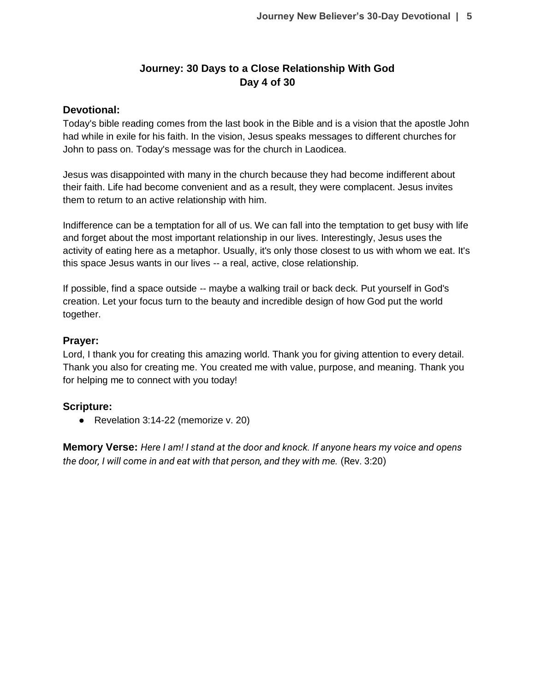# **Journey: 30 Days to a Close Relationship With God Day 4 of 30**

### **Devotional:**

Today's bible reading comes from the last book in the Bible and is a vision that the apostle John had while in exile for his faith. In the vision, Jesus speaks messages to different churches for John to pass on. Today's message was for the church in Laodicea.

Jesus was disappointed with many in the church because they had become indifferent about their faith. Life had become convenient and as a result, they were complacent. Jesus invites them to return to an active relationship with him.

Indifference can be a temptation for all of us. We can fall into the temptation to get busy with life and forget about the most important relationship in our lives. Interestingly, Jesus uses the activity of eating here as a metaphor. Usually, it's only those closest to us with whom we eat. It's this space Jesus wants in our lives -- a real, active, close relationship.

If possible, find a space outside -- maybe a walking trail or back deck. Put yourself in God's creation. Let your focus turn to the beauty and incredible design of how God put the world together.

### **Prayer:**

Lord, I thank you for creating this amazing world. Thank you for giving attention to every detail. Thank you also for creating me. You created me with value, purpose, and meaning. Thank you for helping me to connect with you today!

### **Scripture:**

● Revelation 3:14-22 (memorize v. 20)

**Memory Verse:** *Here I am! I stand at the door and knock. If anyone hears my voice and opens the door, I will come in and eat with that person, and they with me.* (Rev. 3:20)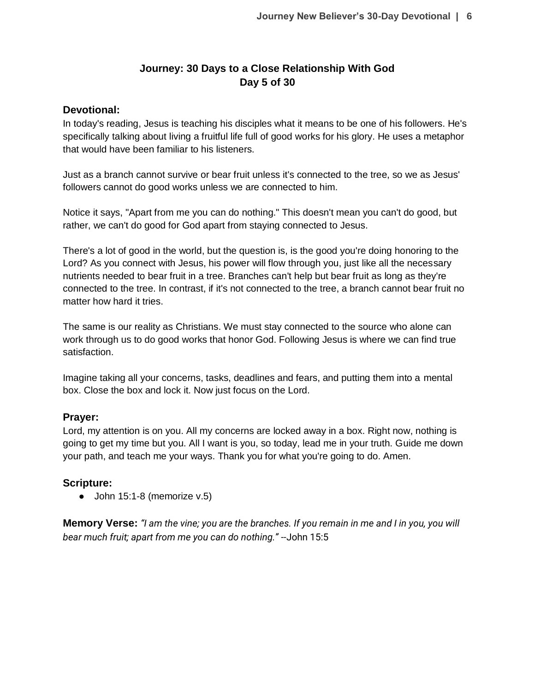# **Journey: 30 Days to a Close Relationship With God Day 5 of 30**

### **Devotional:**

In today's reading, Jesus is teaching his disciples what it means to be one of his followers. He's specifically talking about living a fruitful life full of good works for his glory. He uses a metaphor that would have been familiar to his listeners.

Just as a branch cannot survive or bear fruit unless it's connected to the tree, so we as Jesus' followers cannot do good works unless we are connected to him.

Notice it says, "Apart from me you can do nothing." This doesn't mean you can't do good, but rather, we can't do good for God apart from staying connected to Jesus.

There's a lot of good in the world, but the question is, is the good you're doing honoring to the Lord? As you connect with Jesus, his power will flow through you, just like all the necessary nutrients needed to bear fruit in a tree. Branches can't help but bear fruit as long as they're connected to the tree. In contrast, if it's not connected to the tree, a branch cannot bear fruit no matter how hard it tries.

The same is our reality as Christians. We must stay connected to the source who alone can work through us to do good works that honor God. Following Jesus is where we can find true satisfaction.

Imagine taking all your concerns, tasks, deadlines and fears, and putting them into a mental box. Close the box and lock it. Now just focus on the Lord.

# **Prayer:**

Lord, my attention is on you. All my concerns are locked away in a box. Right now, nothing is going to get my time but you. All I want is you, so today, lead me in your truth. Guide me down your path, and teach me your ways. Thank you for what you're going to do. Amen.

# **Scripture:**

 $\bullet$  John 15:1-8 (memorize v.5)

**Memory Verse:** *"I am the vine; you are the branches. If you remain in me and I in you, you will bear much fruit; apart from me you can do nothing." --*John 15:5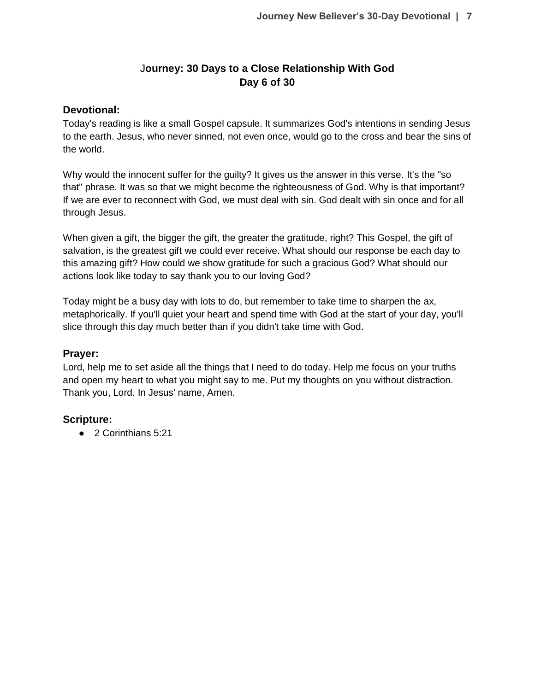# J**ourney: 30 Days to a Close Relationship With God Day 6 of 30**

### **Devotional:**

Today's reading is like a small Gospel capsule. It summarizes God's intentions in sending Jesus to the earth. Jesus, who never sinned, not even once, would go to the cross and bear the sins of the world.

Why would the innocent suffer for the guilty? It gives us the answer in this verse. It's the "so that" phrase. It was so that we might become the righteousness of God. Why is that important? If we are ever to reconnect with God, we must deal with sin. God dealt with sin once and for all through Jesus.

When given a gift, the bigger the gift, the greater the gratitude, right? This Gospel, the gift of salvation, is the greatest gift we could ever receive. What should our response be each day to this amazing gift? How could we show gratitude for such a gracious God? What should our actions look like today to say thank you to our loving God?

Today might be a busy day with lots to do, but remember to take time to sharpen the ax, metaphorically. If you'll quiet your heart and spend time with God at the start of your day, you'll slice through this day much better than if you didn't take time with God.

### **Prayer:**

Lord, help me to set aside all the things that I need to do today. Help me focus on your truths and open my heart to what you might say to me. Put my thoughts on you without distraction. Thank you, Lord. In Jesus' name, Amen.

# **Scripture:**

● 2 Corinthians 5:21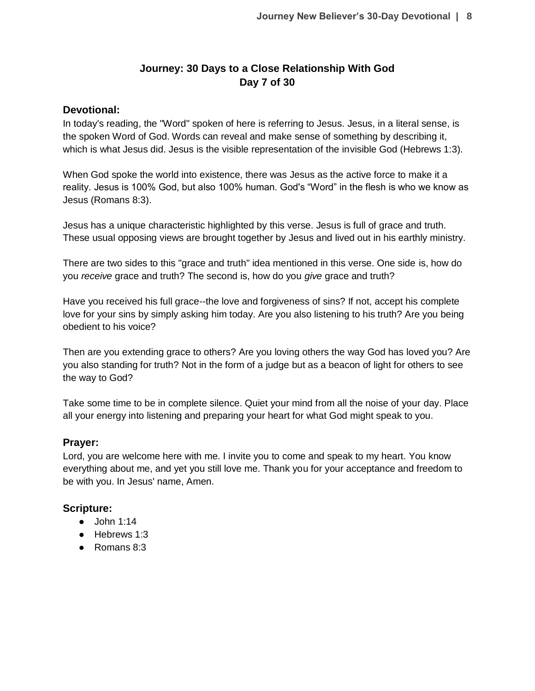# **Journey: 30 Days to a Close Relationship With God Day 7 of 30**

### **Devotional:**

In today's reading, the "Word" spoken of here is referring to Jesus. Jesus, in a literal sense, is the spoken Word of God. Words can reveal and make sense of something by describing it, which is what Jesus did. Jesus is the visible representation of the invisible God (Hebrews 1:3).

When God spoke the world into existence, there was Jesus as the active force to make it a reality. Jesus is 100% God, but also 100% human. God's "Word" in the flesh is who we know as Jesus (Romans 8:3).

Jesus has a unique characteristic highlighted by this verse. Jesus is full of grace and truth. These usual opposing views are brought together by Jesus and lived out in his earthly ministry.

There are two sides to this "grace and truth" idea mentioned in this verse. One side is, how do you *receive* grace and truth? The second is, how do you *give* grace and truth?

Have you received his full grace--the love and forgiveness of sins? If not, accept his complete love for your sins by simply asking him today. Are you also listening to his truth? Are you being obedient to his voice?

Then are you extending grace to others? Are you loving others the way God has loved you? Are you also standing for truth? Not in the form of a judge but as a beacon of light for others to see the way to God?

Take some time to be in complete silence. Quiet your mind from all the noise of your day. Place all your energy into listening and preparing your heart for what God might speak to you.

# **Prayer:**

Lord, you are welcome here with me. I invite you to come and speak to my heart. You know everything about me, and yet you still love me. Thank you for your acceptance and freedom to be with you. In Jesus' name, Amen.

# **Scripture:**

- John 1:14
- Hebrews 1:3
- Romans 8:3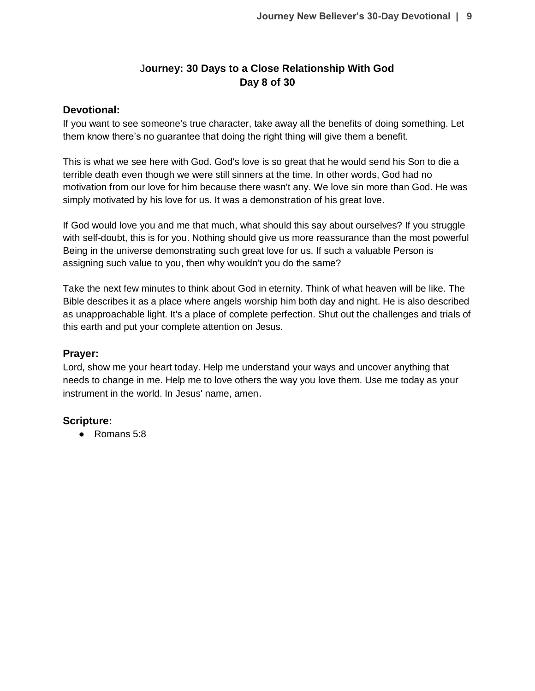# J**ourney: 30 Days to a Close Relationship With God Day 8 of 30**

### **Devotional:**

If you want to see someone's true character, take away all the benefits of doing something. Let them know there's no guarantee that doing the right thing will give them a benefit.

This is what we see here with God. God's love is so great that he would send his Son to die a terrible death even though we were still sinners at the time. In other words, God had no motivation from our love for him because there wasn't any. We love sin more than God. He was simply motivated by his love for us. It was a demonstration of his great love.

If God would love you and me that much, what should this say about ourselves? If you struggle with self-doubt, this is for you. Nothing should give us more reassurance than the most powerful Being in the universe demonstrating such great love for us. If such a valuable Person is assigning such value to you, then why wouldn't you do the same?

Take the next few minutes to think about God in eternity. Think of what heaven will be like. The Bible describes it as a place where angels worship him both day and night. He is also described as unapproachable light. It's a place of complete perfection. Shut out the challenges and trials of this earth and put your complete attention on Jesus.

### **Prayer:**

Lord, show me your heart today. Help me understand your ways and uncover anything that needs to change in me. Help me to love others the way you love them. Use me today as your instrument in the world. In Jesus' name, amen.

# **Scripture:**

● Romans 5:8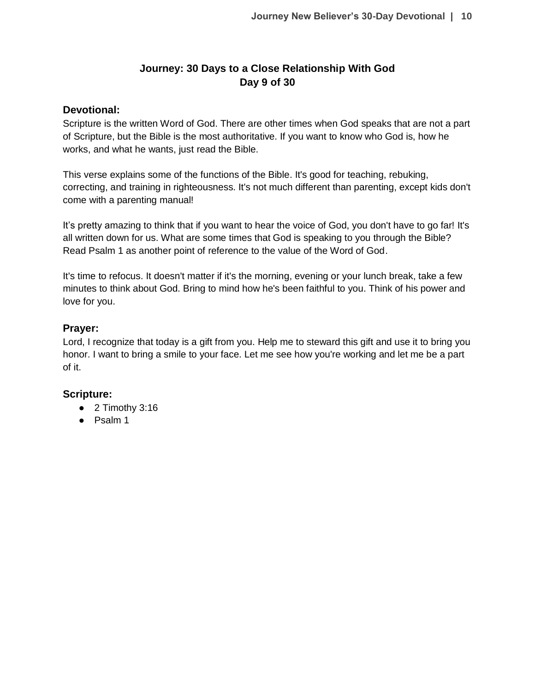# **Journey: 30 Days to a Close Relationship With God Day 9 of 30**

### **Devotional:**

Scripture is the written Word of God. There are other times when God speaks that are not a part of Scripture, but the Bible is the most authoritative. If you want to know who God is, how he works, and what he wants, just read the Bible.

This verse explains some of the functions of the Bible. It's good for teaching, rebuking, correcting, and training in righteousness. It's not much different than parenting, except kids don't come with a parenting manual!

It's pretty amazing to think that if you want to hear the voice of God, you don't have to go far! It's all written down for us. What are some times that God is speaking to you through the Bible? Read Psalm 1 as another point of reference to the value of the Word of God.

It's time to refocus. It doesn't matter if it's the morning, evening or your lunch break, take a few minutes to think about God. Bring to mind how he's been faithful to you. Think of his power and love for you.

### **Prayer:**

Lord, I recognize that today is a gift from you. Help me to steward this gift and use it to bring you honor. I want to bring a smile to your face. Let me see how you're working and let me be a part of it.

# **Scripture:**

- 2 Timothy 3:16
- Psalm 1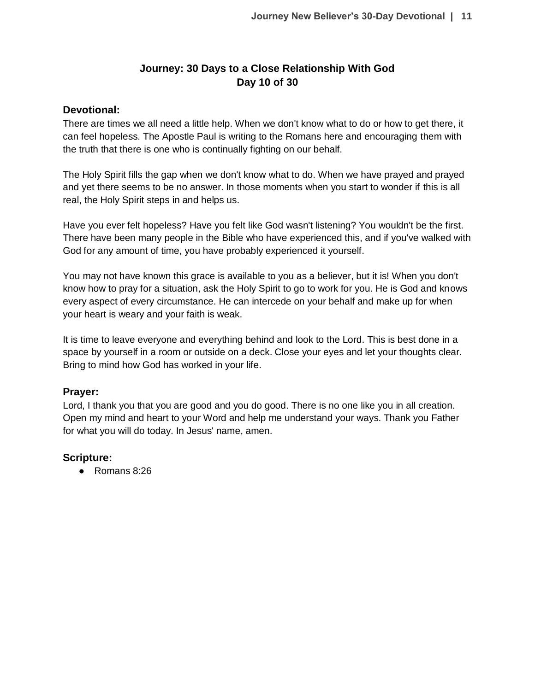# **Journey: 30 Days to a Close Relationship With God Day 10 of 30**

### **Devotional:**

There are times we all need a little help. When we don't know what to do or how to get there, it can feel hopeless. The Apostle Paul is writing to the Romans here and encouraging them with the truth that there is one who is continually fighting on our behalf.

The Holy Spirit fills the gap when we don't know what to do. When we have prayed and prayed and yet there seems to be no answer. In those moments when you start to wonder if this is all real, the Holy Spirit steps in and helps us.

Have you ever felt hopeless? Have you felt like God wasn't listening? You wouldn't be the first. There have been many people in the Bible who have experienced this, and if you've walked with God for any amount of time, you have probably experienced it yourself.

You may not have known this grace is available to you as a believer, but it is! When you don't know how to pray for a situation, ask the Holy Spirit to go to work for you. He is God and knows every aspect of every circumstance. He can intercede on your behalf and make up for when your heart is weary and your faith is weak.

It is time to leave everyone and everything behind and look to the Lord. This is best done in a space by yourself in a room or outside on a deck. Close your eyes and let your thoughts clear. Bring to mind how God has worked in your life.

### **Prayer:**

Lord, I thank you that you are good and you do good. There is no one like you in all creation. Open my mind and heart to your Word and help me understand your ways. Thank you Father for what you will do today. In Jesus' name, amen.

### **Scripture:**

● Romans 8:26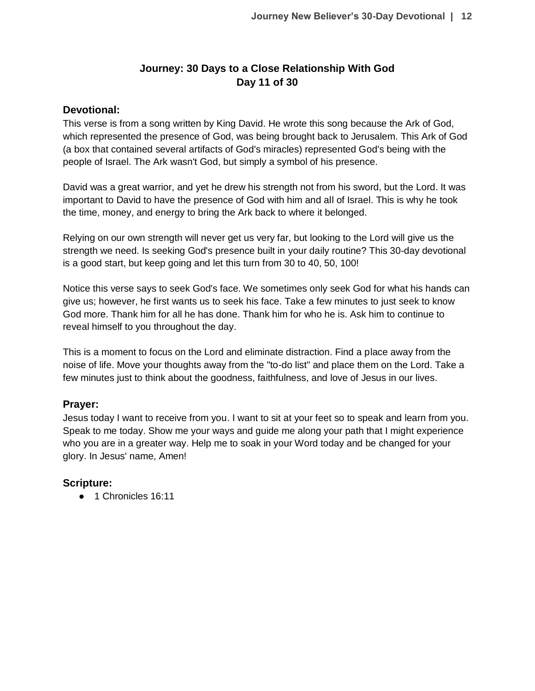# **Journey: 30 Days to a Close Relationship With God Day 11 of 30**

### **Devotional:**

This verse is from a song written by King David. He wrote this song because the Ark of God, which represented the presence of God, was being brought back to Jerusalem. This Ark of God (a box that contained several artifacts of God's miracles) represented God's being with the people of Israel. The Ark wasn't God, but simply a symbol of his presence.

David was a great warrior, and yet he drew his strength not from his sword, but the Lord. It was important to David to have the presence of God with him and all of Israel. This is why he took the time, money, and energy to bring the Ark back to where it belonged.

Relying on our own strength will never get us very far, but looking to the Lord will give us the strength we need. Is seeking God's presence built in your daily routine? This 30-day devotional is a good start, but keep going and let this turn from 30 to 40, 50, 100!

Notice this verse says to seek God's face. We sometimes only seek God for what his hands can give us; however, he first wants us to seek his face. Take a few minutes to just seek to know God more. Thank him for all he has done. Thank him for who he is. Ask him to continue to reveal himself to you throughout the day.

This is a moment to focus on the Lord and eliminate distraction. Find a place away from the noise of life. Move your thoughts away from the "to-do list" and place them on the Lord. Take a few minutes just to think about the goodness, faithfulness, and love of Jesus in our lives.

### **Prayer:**

Jesus today I want to receive from you. I want to sit at your feet so to speak and learn from you. Speak to me today. Show me your ways and guide me along your path that I might experience who you are in a greater way. Help me to soak in your Word today and be changed for your glory. In Jesus' name, Amen!

### **Scripture:**

● 1 Chronicles 16:11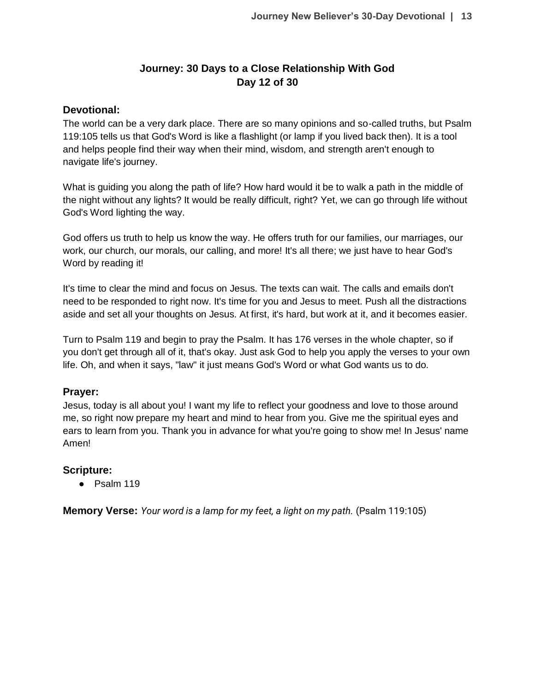# **Journey: 30 Days to a Close Relationship With God Day 12 of 30**

### **Devotional:**

The world can be a very dark place. There are so many opinions and so-called truths, but Psalm 119:105 tells us that God's Word is like a flashlight (or lamp if you lived back then). It is a tool and helps people find their way when their mind, wisdom, and strength aren't enough to navigate life's journey.

What is guiding you along the path of life? How hard would it be to walk a path in the middle of the night without any lights? It would be really difficult, right? Yet, we can go through life without God's Word lighting the way.

God offers us truth to help us know the way. He offers truth for our families, our marriages, our work, our church, our morals, our calling, and more! It's all there; we just have to hear God's Word by reading it!

It's time to clear the mind and focus on Jesus. The texts can wait. The calls and emails don't need to be responded to right now. It's time for you and Jesus to meet. Push all the distractions aside and set all your thoughts on Jesus. At first, it's hard, but work at it, and it becomes easier.

Turn to Psalm 119 and begin to pray the Psalm. It has 176 verses in the whole chapter, so if you don't get through all of it, that's okay. Just ask God to help you apply the verses to your own life. Oh, and when it says, "law" it just means God's Word or what God wants us to do.

### **Prayer:**

Jesus, today is all about you! I want my life to reflect your goodness and love to those around me, so right now prepare my heart and mind to hear from you. Give me the spiritual eyes and ears to learn from you. Thank you in advance for what you're going to show me! In Jesus' name Amen!

### **Scripture:**

● Psalm 119

**Memory Verse:** *Your word is a lamp for my feet, a light on my path.* (Psalm 119:105)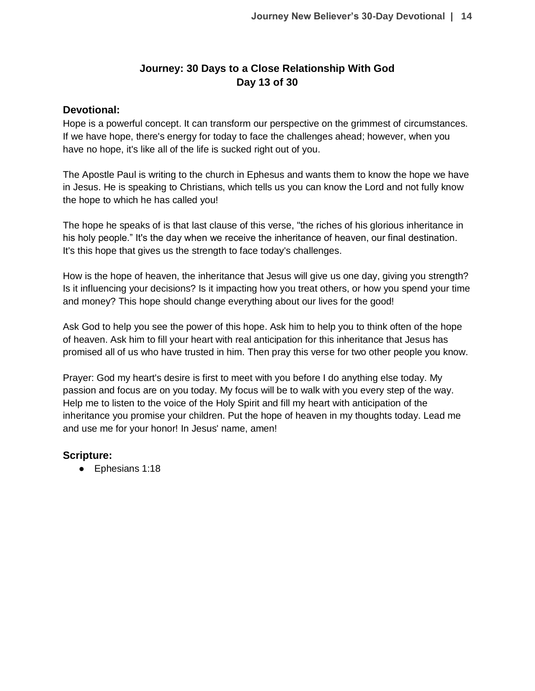# **Journey: 30 Days to a Close Relationship With God Day 13 of 30**

### **Devotional:**

Hope is a powerful concept. It can transform our perspective on the grimmest of circumstances. If we have hope, there's energy for today to face the challenges ahead; however, when you have no hope, it's like all of the life is sucked right out of you.

The Apostle Paul is writing to the church in Ephesus and wants them to know the hope we have in Jesus. He is speaking to Christians, which tells us you can know the Lord and not fully know the hope to which he has called you!

The hope he speaks of is that last clause of this verse, "the riches of his glorious inheritance in his holy people." It's the day when we receive the inheritance of heaven, our final destination. It's this hope that gives us the strength to face today's challenges.

How is the hope of heaven, the inheritance that Jesus will give us one day, giving you strength? Is it influencing your decisions? Is it impacting how you treat others, or how you spend your time and money? This hope should change everything about our lives for the good!

Ask God to help you see the power of this hope. Ask him to help you to think often of the hope of heaven. Ask him to fill your heart with real anticipation for this inheritance that Jesus has promised all of us who have trusted in him. Then pray this verse for two other people you know.

Prayer: God my heart's desire is first to meet with you before I do anything else today. My passion and focus are on you today. My focus will be to walk with you every step of the way. Help me to listen to the voice of the Holy Spirit and fill my heart with anticipation of the inheritance you promise your children. Put the hope of heaven in my thoughts today. Lead me and use me for your honor! In Jesus' name, amen!

### **Scripture:**

● Ephesians 1:18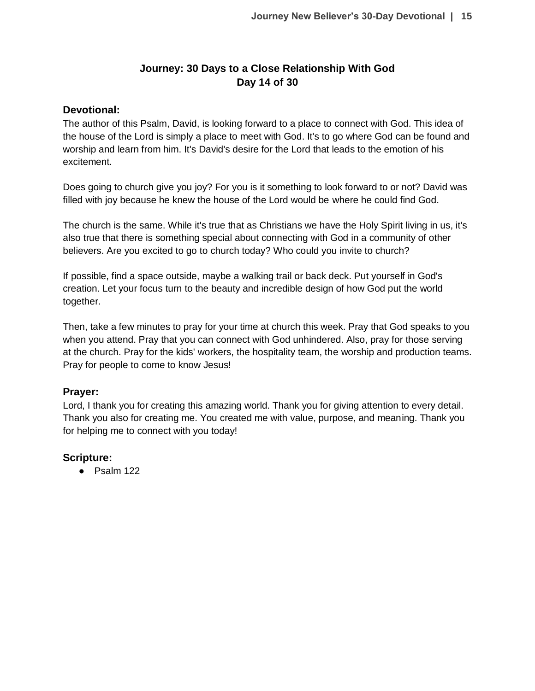# **Journey: 30 Days to a Close Relationship With God Day 14 of 30**

### **Devotional:**

The author of this Psalm, David, is looking forward to a place to connect with God. This idea of the house of the Lord is simply a place to meet with God. It's to go where God can be found and worship and learn from him. It's David's desire for the Lord that leads to the emotion of his excitement.

Does going to church give you joy? For you is it something to look forward to or not? David was filled with joy because he knew the house of the Lord would be where he could find God.

The church is the same. While it's true that as Christians we have the Holy Spirit living in us, it's also true that there is something special about connecting with God in a community of other believers. Are you excited to go to church today? Who could you invite to church?

If possible, find a space outside, maybe a walking trail or back deck. Put yourself in God's creation. Let your focus turn to the beauty and incredible design of how God put the world together.

Then, take a few minutes to pray for your time at church this week. Pray that God speaks to you when you attend. Pray that you can connect with God unhindered. Also, pray for those serving at the church. Pray for the kids' workers, the hospitality team, the worship and production teams. Pray for people to come to know Jesus!

### **Prayer:**

Lord, I thank you for creating this amazing world. Thank you for giving attention to every detail. Thank you also for creating me. You created me with value, purpose, and meaning. Thank you for helping me to connect with you today!

### **Scripture:**

● Psalm 122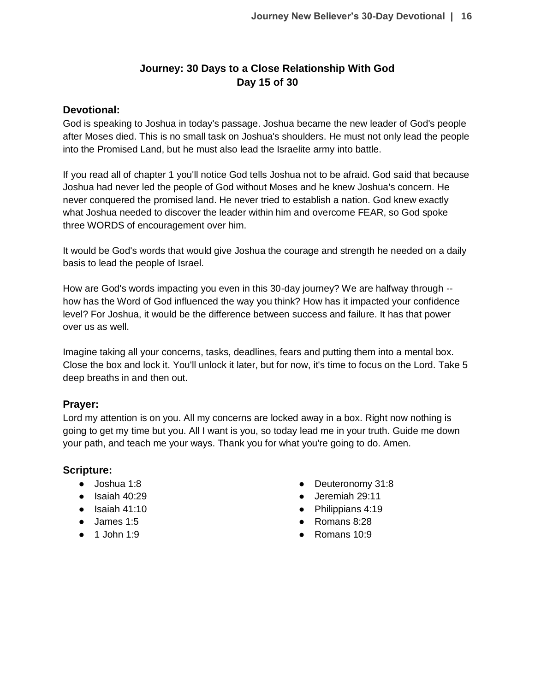# **Journey: 30 Days to a Close Relationship With God Day 15 of 30**

### **Devotional:**

God is speaking to Joshua in today's passage. Joshua became the new leader of God's people after Moses died. This is no small task on Joshua's shoulders. He must not only lead the people into the Promised Land, but he must also lead the Israelite army into battle.

If you read all of chapter 1 you'll notice God tells Joshua not to be afraid. God said that because Joshua had never led the people of God without Moses and he knew Joshua's concern. He never conquered the promised land. He never tried to establish a nation. God knew exactly what Joshua needed to discover the leader within him and overcome FEAR, so God spoke three WORDS of encouragement over him.

It would be God's words that would give Joshua the courage and strength he needed on a daily basis to lead the people of Israel.

How are God's words impacting you even in this 30-day journey? We are halfway through - how has the Word of God influenced the way you think? How has it impacted your confidence level? For Joshua, it would be the difference between success and failure. It has that power over us as well.

Imagine taking all your concerns, tasks, deadlines, fears and putting them into a mental box. Close the box and lock it. You'll unlock it later, but for now, it's time to focus on the Lord. Take 5 deep breaths in and then out.

### **Prayer:**

Lord my attention is on you. All my concerns are locked away in a box. Right now nothing is going to get my time but you. All I want is you, so today lead me in your truth. Guide me down your path, and teach me your ways. Thank you for what you're going to do. Amen.

# **Scripture:**

- Joshua 1:8
- $\bullet$  Isaiah 40:29
- $\bullet$  Isaiah 41:10
- James 1:5
- $\bullet$  1 John 1:9
- Deuteronomy 31:8
- Jeremiah 29:11
- Philippians 4:19
- Romans 8:28
- $\bullet$  Romans 10:9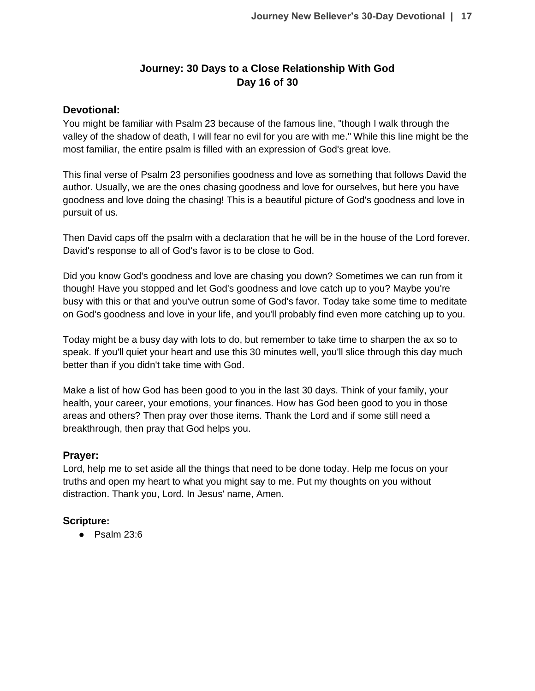# **Journey: 30 Days to a Close Relationship With God Day 16 of 30**

### **Devotional:**

You might be familiar with Psalm 23 because of the famous line, "though I walk through the valley of the shadow of death, I will fear no evil for you are with me." While this line might be the most familiar, the entire psalm is filled with an expression of God's great love.

This final verse of Psalm 23 personifies goodness and love as something that follows David the author. Usually, we are the ones chasing goodness and love for ourselves, but here you have goodness and love doing the chasing! This is a beautiful picture of God's goodness and love in pursuit of us.

Then David caps off the psalm with a declaration that he will be in the house of the Lord forever. David's response to all of God's favor is to be close to God.

Did you know God's goodness and love are chasing you down? Sometimes we can run from it though! Have you stopped and let God's goodness and love catch up to you? Maybe you're busy with this or that and you've outrun some of God's favor. Today take some time to meditate on God's goodness and love in your life, and you'll probably find even more catching up to you.

Today might be a busy day with lots to do, but remember to take time to sharpen the ax so to speak. If you'll quiet your heart and use this 30 minutes well, you'll slice through this day much better than if you didn't take time with God.

Make a list of how God has been good to you in the last 30 days. Think of your family, your health, your career, your emotions, your finances. How has God been good to you in those areas and others? Then pray over those items. Thank the Lord and if some still need a breakthrough, then pray that God helps you.

### **Prayer:**

Lord, help me to set aside all the things that need to be done today. Help me focus on your truths and open my heart to what you might say to me. Put my thoughts on you without distraction. Thank you, Lord. In Jesus' name, Amen.

### **Scripture:**

● Psalm 23:6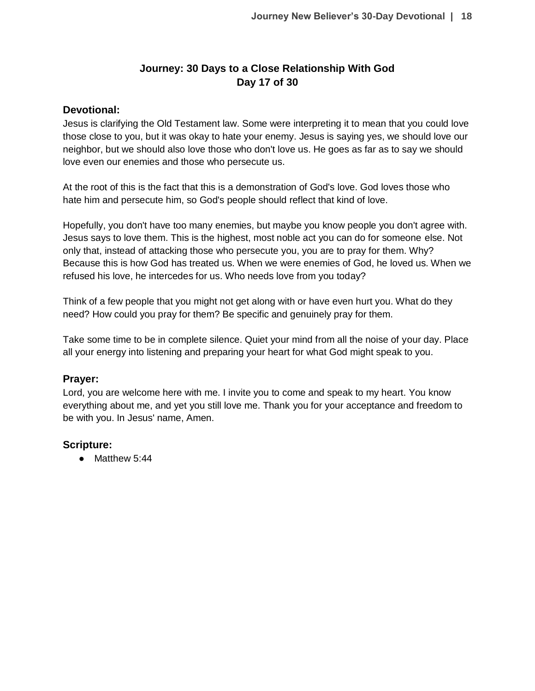# **Journey: 30 Days to a Close Relationship With God Day 17 of 30**

### **Devotional:**

Jesus is clarifying the Old Testament law. Some were interpreting it to mean that you could love those close to you, but it was okay to hate your enemy. Jesus is saying yes, we should love our neighbor, but we should also love those who don't love us. He goes as far as to say we should love even our enemies and those who persecute us.

At the root of this is the fact that this is a demonstration of God's love. God loves those who hate him and persecute him, so God's people should reflect that kind of love.

Hopefully, you don't have too many enemies, but maybe you know people you don't agree with. Jesus says to love them. This is the highest, most noble act you can do for someone else. Not only that, instead of attacking those who persecute you, you are to pray for them. Why? Because this is how God has treated us. When we were enemies of God, he loved us. When we refused his love, he intercedes for us. Who needs love from you today?

Think of a few people that you might not get along with or have even hurt you. What do they need? How could you pray for them? Be specific and genuinely pray for them.

Take some time to be in complete silence. Quiet your mind from all the noise of your day. Place all your energy into listening and preparing your heart for what God might speak to you.

#### **Prayer:**

Lord, you are welcome here with me. I invite you to come and speak to my heart. You know everything about me, and yet you still love me. Thank you for your acceptance and freedom to be with you. In Jesus' name, Amen.

### **Scripture:**

● Matthew 5:44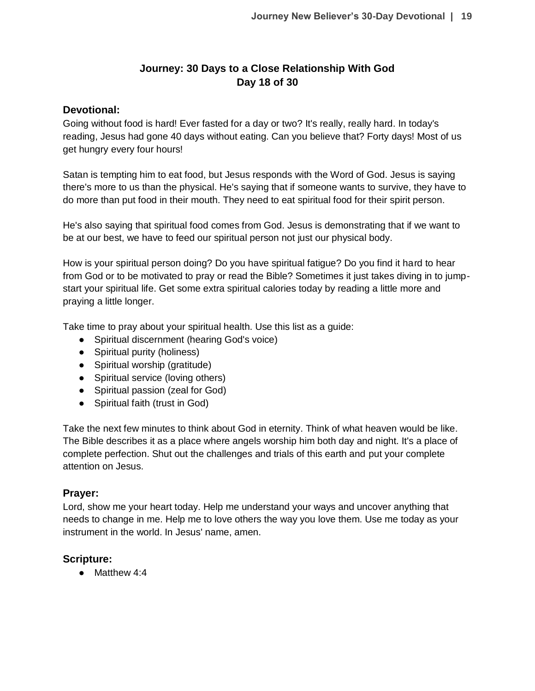# **Journey: 30 Days to a Close Relationship With God Day 18 of 30**

### **Devotional:**

Going without food is hard! Ever fasted for a day or two? It's really, really hard. In today's reading, Jesus had gone 40 days without eating. Can you believe that? Forty days! Most of us get hungry every four hours!

Satan is tempting him to eat food, but Jesus responds with the Word of God. Jesus is saying there's more to us than the physical. He's saying that if someone wants to survive, they have to do more than put food in their mouth. They need to eat spiritual food for their spirit person.

He's also saying that spiritual food comes from God. Jesus is demonstrating that if we want to be at our best, we have to feed our spiritual person not just our physical body.

How is your spiritual person doing? Do you have spiritual fatigue? Do you find it hard to hear from God or to be motivated to pray or read the Bible? Sometimes it just takes diving in to jumpstart your spiritual life. Get some extra spiritual calories today by reading a little more and praying a little longer.

Take time to pray about your spiritual health. Use this list as a guide:

- Spiritual discernment (hearing God's voice)
- Spiritual purity (holiness)
- Spiritual worship (gratitude)
- Spiritual service (loving others)
- Spiritual passion (zeal for God)
- Spiritual faith (trust in God)

Take the next few minutes to think about God in eternity. Think of what heaven would be like. The Bible describes it as a place where angels worship him both day and night. It's a place of complete perfection. Shut out the challenges and trials of this earth and put your complete attention on Jesus.

### **Prayer:**

Lord, show me your heart today. Help me understand your ways and uncover anything that needs to change in me. Help me to love others the way you love them. Use me today as your instrument in the world. In Jesus' name, amen.

### **Scripture:**

● Matthew 4:4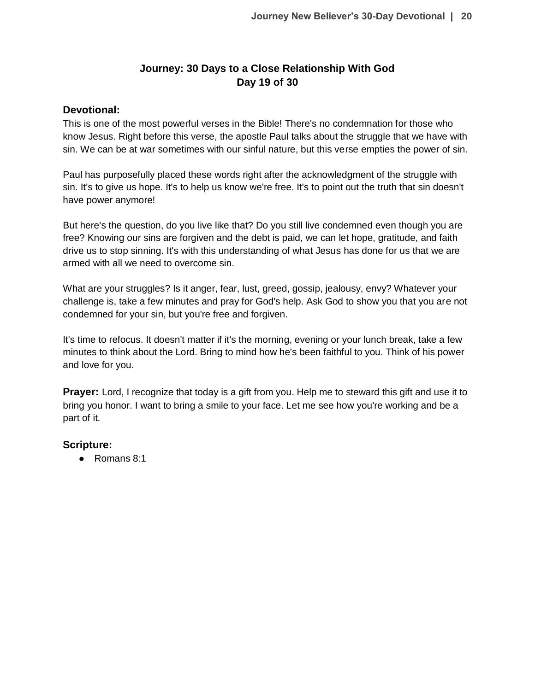# **Journey: 30 Days to a Close Relationship With God Day 19 of 30**

### **Devotional:**

This is one of the most powerful verses in the Bible! There's no condemnation for those who know Jesus. Right before this verse, the apostle Paul talks about the struggle that we have with sin. We can be at war sometimes with our sinful nature, but this verse empties the power of sin.

Paul has purposefully placed these words right after the acknowledgment of the struggle with sin. It's to give us hope. It's to help us know we're free. It's to point out the truth that sin doesn't have power anymore!

But here's the question, do you live like that? Do you still live condemned even though you are free? Knowing our sins are forgiven and the debt is paid, we can let hope, gratitude, and faith drive us to stop sinning. It's with this understanding of what Jesus has done for us that we are armed with all we need to overcome sin.

What are your struggles? Is it anger, fear, lust, greed, gossip, jealousy, envy? Whatever your challenge is, take a few minutes and pray for God's help. Ask God to show you that you are not condemned for your sin, but you're free and forgiven.

It's time to refocus. It doesn't matter if it's the morning, evening or your lunch break, take a few minutes to think about the Lord. Bring to mind how he's been faithful to you. Think of his power and love for you.

**Prayer:** Lord, I recognize that today is a gift from you. Help me to steward this gift and use it to bring you honor. I want to bring a smile to your face. Let me see how you're working and be a part of it.

### **Scripture:**

● Romans 8:1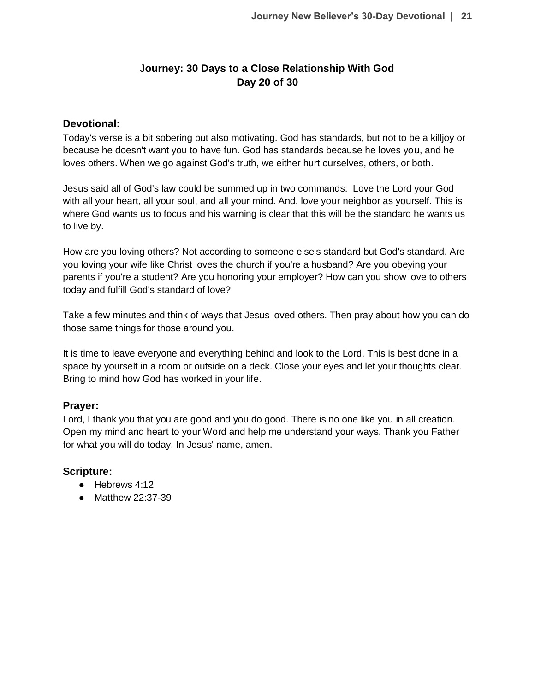# J**ourney: 30 Days to a Close Relationship With God Day 20 of 30**

### **Devotional:**

Today's verse is a bit sobering but also motivating. God has standards, but not to be a killjoy or because he doesn't want you to have fun. God has standards because he loves you, and he loves others. When we go against God's truth, we either hurt ourselves, others, or both.

Jesus said all of God's law could be summed up in two commands: Love the Lord your God with all your heart, all your soul, and all your mind. And, love your neighbor as yourself. This is where God wants us to focus and his warning is clear that this will be the standard he wants us to live by.

How are you loving others? Not according to someone else's standard but God's standard. Are you loving your wife like Christ loves the church if you're a husband? Are you obeying your parents if you're a student? Are you honoring your employer? How can you show love to others today and fulfill God's standard of love?

Take a few minutes and think of ways that Jesus loved others. Then pray about how you can do those same things for those around you.

It is time to leave everyone and everything behind and look to the Lord. This is best done in a space by yourself in a room or outside on a deck. Close your eyes and let your thoughts clear. Bring to mind how God has worked in your life.

# **Prayer:**

Lord, I thank you that you are good and you do good. There is no one like you in all creation. Open my mind and heart to your Word and help me understand your ways. Thank you Father for what you will do today. In Jesus' name, amen.

# **Scripture:**

- Hebrews 4:12
- Matthew 22:37-39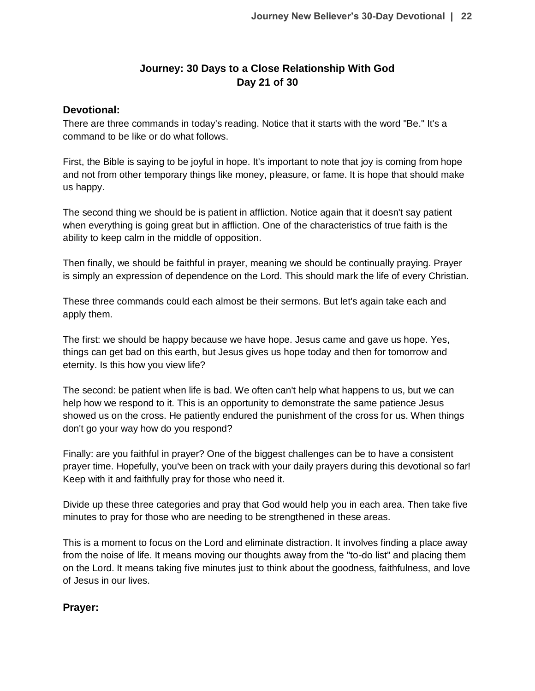# **Journey: 30 Days to a Close Relationship With God Day 21 of 30**

### **Devotional:**

There are three commands in today's reading. Notice that it starts with the word "Be." It's a command to be like or do what follows.

First, the Bible is saying to be joyful in hope. It's important to note that joy is coming from hope and not from other temporary things like money, pleasure, or fame. It is hope that should make us happy.

The second thing we should be is patient in affliction. Notice again that it doesn't say patient when everything is going great but in affliction. One of the characteristics of true faith is the ability to keep calm in the middle of opposition.

Then finally, we should be faithful in prayer, meaning we should be continually praying. Prayer is simply an expression of dependence on the Lord. This should mark the life of every Christian.

These three commands could each almost be their sermons. But let's again take each and apply them.

The first: we should be happy because we have hope. Jesus came and gave us hope. Yes, things can get bad on this earth, but Jesus gives us hope today and then for tomorrow and eternity. Is this how you view life?

The second: be patient when life is bad. We often can't help what happens to us, but we can help how we respond to it. This is an opportunity to demonstrate the same patience Jesus showed us on the cross. He patiently endured the punishment of the cross for us. When things don't go your way how do you respond?

Finally: are you faithful in prayer? One of the biggest challenges can be to have a consistent prayer time. Hopefully, you've been on track with your daily prayers during this devotional so far! Keep with it and faithfully pray for those who need it.

Divide up these three categories and pray that God would help you in each area. Then take five minutes to pray for those who are needing to be strengthened in these areas.

This is a moment to focus on the Lord and eliminate distraction. It involves finding a place away from the noise of life. It means moving our thoughts away from the "to-do list" and placing them on the Lord. It means taking five minutes just to think about the goodness, faithfulness, and love of Jesus in our lives.

# **Prayer:**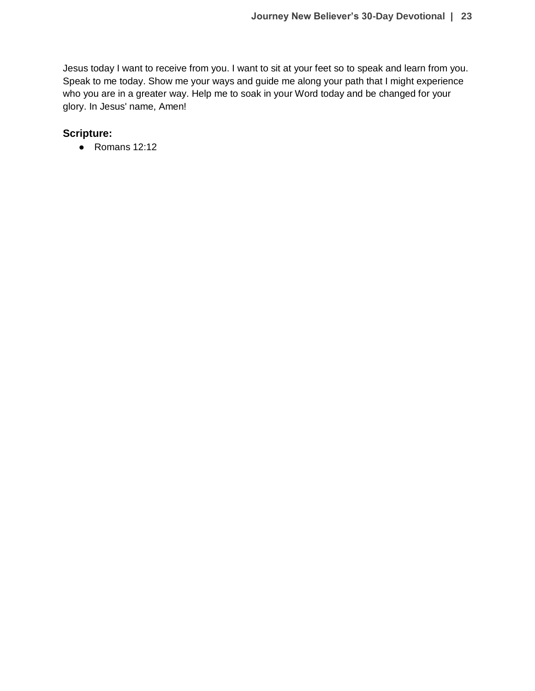Jesus today I want to receive from you. I want to sit at your feet so to speak and learn from you. Speak to me today. Show me your ways and guide me along your path that I might experience who you are in a greater way. Help me to soak in your Word today and be changed for your glory. In Jesus' name, Amen!

# **Scripture:**

● Romans 12:12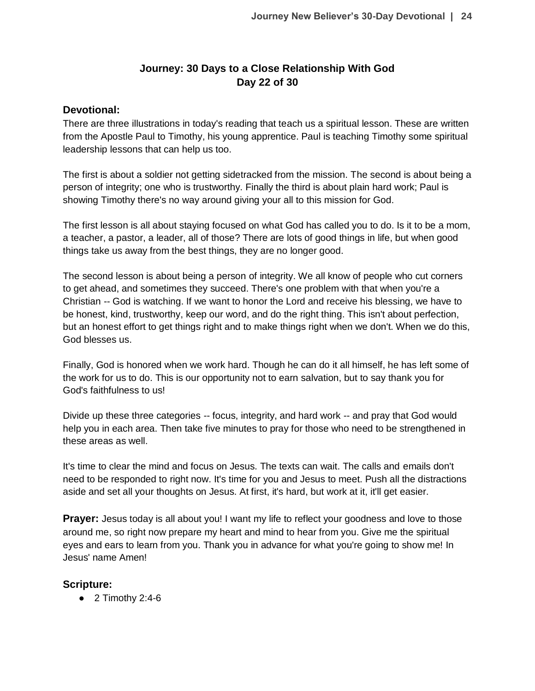# **Journey: 30 Days to a Close Relationship With God Day 22 of 30**

### **Devotional:**

There are three illustrations in today's reading that teach us a spiritual lesson. These are written from the Apostle Paul to Timothy, his young apprentice. Paul is teaching Timothy some spiritual leadership lessons that can help us too.

The first is about a soldier not getting sidetracked from the mission. The second is about being a person of integrity; one who is trustworthy. Finally the third is about plain hard work; Paul is showing Timothy there's no way around giving your all to this mission for God.

The first lesson is all about staying focused on what God has called you to do. Is it to be a mom, a teacher, a pastor, a leader, all of those? There are lots of good things in life, but when good things take us away from the best things, they are no longer good.

The second lesson is about being a person of integrity. We all know of people who cut corners to get ahead, and sometimes they succeed. There's one problem with that when you're a Christian -- God is watching. If we want to honor the Lord and receive his blessing, we have to be honest, kind, trustworthy, keep our word, and do the right thing. This isn't about perfection, but an honest effort to get things right and to make things right when we don't. When we do this, God blesses us.

Finally, God is honored when we work hard. Though he can do it all himself, he has left some of the work for us to do. This is our opportunity not to earn salvation, but to say thank you for God's faithfulness to us!

Divide up these three categories -- focus, integrity, and hard work -- and pray that God would help you in each area. Then take five minutes to pray for those who need to be strengthened in these areas as well.

It's time to clear the mind and focus on Jesus. The texts can wait. The calls and emails don't need to be responded to right now. It's time for you and Jesus to meet. Push all the distractions aside and set all your thoughts on Jesus. At first, it's hard, but work at it, it'll get easier.

**Prayer:** Jesus today is all about you! I want my life to reflect your goodness and love to those around me, so right now prepare my heart and mind to hear from you. Give me the spiritual eyes and ears to learn from you. Thank you in advance for what you're going to show me! In Jesus' name Amen!

# **Scripture:**

 $\bullet$  2 Timothy 2:4-6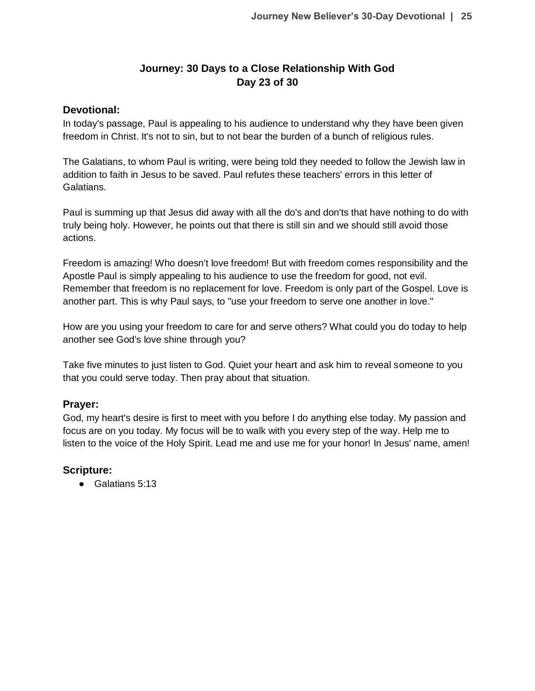# **Journey: 30 Days to a Close Relationship With God Day 23 of 30**

### **Devotional:**

In today's passage, Paul is appealing to his audience to understand why they have been given freedom in Christ. It's not to sin, but to not bear the burden of a bunch of religious rules.

The Galatians, to whom Paul is writing, were being told they needed to follow the Jewish law in addition to faith in Jesus to be saved. Paul refutes these teachers' errors in this letter of Galatians.

Paul is summing up that Jesus did away with all the do's and don'ts that have nothing to do with truly being holy. However, he points out that there is still sin and we should still avoid those actions.

Freedom is amazing! Who doesn't love freedom! But with freedom comes responsibility and the Apostle Paul is simply appealing to his audience to use the freedom for good, not evil. Remember that freedom is no replacement for love. Freedom is only part of the Gospel. Love is another part. This is why Paul says, to "use your freedom to serve one another in love."

How are you using your freedom to care for and serve others? What could you do today to help another see God's love shine through you?

Take five minutes to just listen to God. Quiet your heart and ask him to reveal someone to you that you could serve today. Then pray about that situation.

### **Prayer:**

God, my heart's desire is first to meet with you before I do anything else today. My passion and focus are on you today. My focus will be to walk with you every step of the way. Help me to listen to the voice of the Holy Spirit. Lead me and use me for your honor! In Jesus' name, amen!

# **Scripture:**

● Galatians 5:13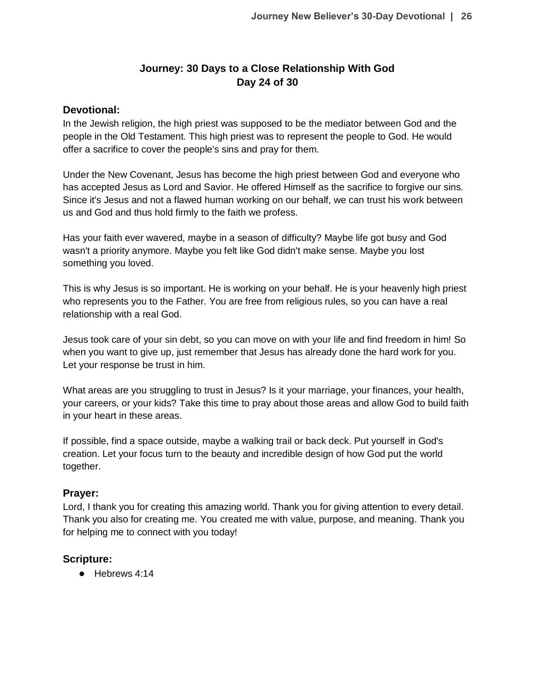# **Journey: 30 Days to a Close Relationship With God Day 24 of 30**

### **Devotional:**

In the Jewish religion, the high priest was supposed to be the mediator between God and the people in the Old Testament. This high priest was to represent the people to God. He would offer a sacrifice to cover the people's sins and pray for them.

Under the New Covenant, Jesus has become the high priest between God and everyone who has accepted Jesus as Lord and Savior. He offered Himself as the sacrifice to forgive our sins. Since it's Jesus and not a flawed human working on our behalf, we can trust his work between us and God and thus hold firmly to the faith we profess.

Has your faith ever wavered, maybe in a season of difficulty? Maybe life got busy and God wasn't a priority anymore. Maybe you felt like God didn't make sense. Maybe you lost something you loved.

This is why Jesus is so important. He is working on your behalf. He is your heavenly high priest who represents you to the Father. You are free from religious rules, so you can have a real relationship with a real God.

Jesus took care of your sin debt, so you can move on with your life and find freedom in him! So when you want to give up, just remember that Jesus has already done the hard work for you. Let your response be trust in him.

What areas are you struggling to trust in Jesus? Is it your marriage, your finances, your health, your careers, or your kids? Take this time to pray about those areas and allow God to build faith in your heart in these areas.

If possible, find a space outside, maybe a walking trail or back deck. Put yourself in God's creation. Let your focus turn to the beauty and incredible design of how God put the world together.

### **Prayer:**

Lord, I thank you for creating this amazing world. Thank you for giving attention to every detail. Thank you also for creating me. You created me with value, purpose, and meaning. Thank you for helping me to connect with you today!

### **Scripture:**

● Hebrews 4:14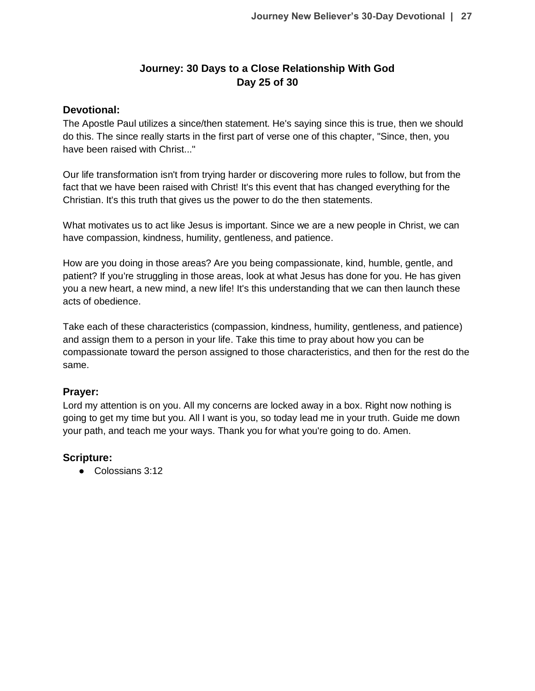# **Journey: 30 Days to a Close Relationship With God Day 25 of 30**

### **Devotional:**

The Apostle Paul utilizes a since/then statement. He's saying since this is true, then we should do this. The since really starts in the first part of verse one of this chapter, "Since, then, you have been raised with Christ..."

Our life transformation isn't from trying harder or discovering more rules to follow, but from the fact that we have been raised with Christ! It's this event that has changed everything for the Christian. It's this truth that gives us the power to do the then statements.

What motivates us to act like Jesus is important. Since we are a new people in Christ, we can have compassion, kindness, humility, gentleness, and patience.

How are you doing in those areas? Are you being compassionate, kind, humble, gentle, and patient? If you're struggling in those areas, look at what Jesus has done for you. He has given you a new heart, a new mind, a new life! It's this understanding that we can then launch these acts of obedience.

Take each of these characteristics (compassion, kindness, humility, gentleness, and patience) and assign them to a person in your life. Take this time to pray about how you can be compassionate toward the person assigned to those characteristics, and then for the rest do the same.

### **Prayer:**

Lord my attention is on you. All my concerns are locked away in a box. Right now nothing is going to get my time but you. All I want is you, so today lead me in your truth. Guide me down your path, and teach me your ways. Thank you for what you're going to do. Amen.

### **Scripture:**

● Colossians 3:12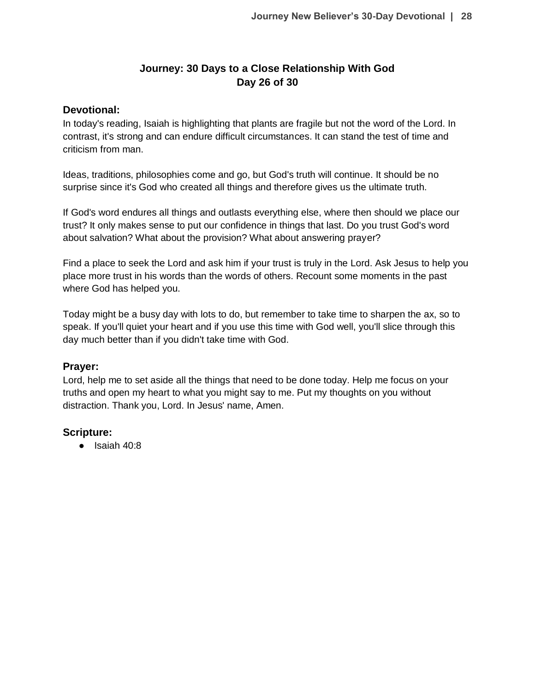# **Journey: 30 Days to a Close Relationship With God Day 26 of 30**

### **Devotional:**

In today's reading, Isaiah is highlighting that plants are fragile but not the word of the Lord. In contrast, it's strong and can endure difficult circumstances. It can stand the test of time and criticism from man.

Ideas, traditions, philosophies come and go, but God's truth will continue. It should be no surprise since it's God who created all things and therefore gives us the ultimate truth.

If God's word endures all things and outlasts everything else, where then should we place our trust? It only makes sense to put our confidence in things that last. Do you trust God's word about salvation? What about the provision? What about answering prayer?

Find a place to seek the Lord and ask him if your trust is truly in the Lord. Ask Jesus to help you place more trust in his words than the words of others. Recount some moments in the past where God has helped you.

Today might be a busy day with lots to do, but remember to take time to sharpen the ax, so to speak. If you'll quiet your heart and if you use this time with God well, you'll slice through this day much better than if you didn't take time with God.

### **Prayer:**

Lord, help me to set aside all the things that need to be done today. Help me focus on your truths and open my heart to what you might say to me. Put my thoughts on you without distraction. Thank you, Lord. In Jesus' name, Amen.

### **Scripture:**

● Isaiah 40:8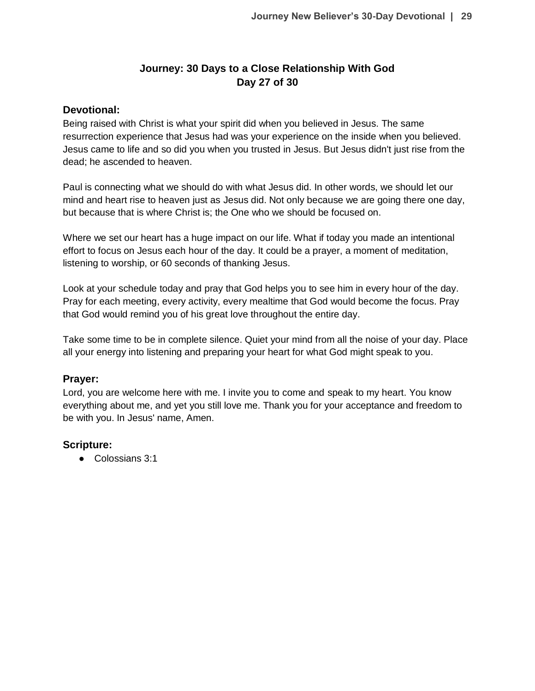# **Journey: 30 Days to a Close Relationship With God Day 27 of 30**

### **Devotional:**

Being raised with Christ is what your spirit did when you believed in Jesus. The same resurrection experience that Jesus had was your experience on the inside when you believed. Jesus came to life and so did you when you trusted in Jesus. But Jesus didn't just rise from the dead; he ascended to heaven.

Paul is connecting what we should do with what Jesus did. In other words, we should let our mind and heart rise to heaven just as Jesus did. Not only because we are going there one day, but because that is where Christ is; the One who we should be focused on.

Where we set our heart has a huge impact on our life. What if today you made an intentional effort to focus on Jesus each hour of the day. It could be a prayer, a moment of meditation, listening to worship, or 60 seconds of thanking Jesus.

Look at your schedule today and pray that God helps you to see him in every hour of the day. Pray for each meeting, every activity, every mealtime that God would become the focus. Pray that God would remind you of his great love throughout the entire day.

Take some time to be in complete silence. Quiet your mind from all the noise of your day. Place all your energy into listening and preparing your heart for what God might speak to you.

### **Prayer:**

Lord, you are welcome here with me. I invite you to come and speak to my heart. You know everything about me, and yet you still love me. Thank you for your acceptance and freedom to be with you. In Jesus' name, Amen.

# **Scripture:**

● Colossians 3:1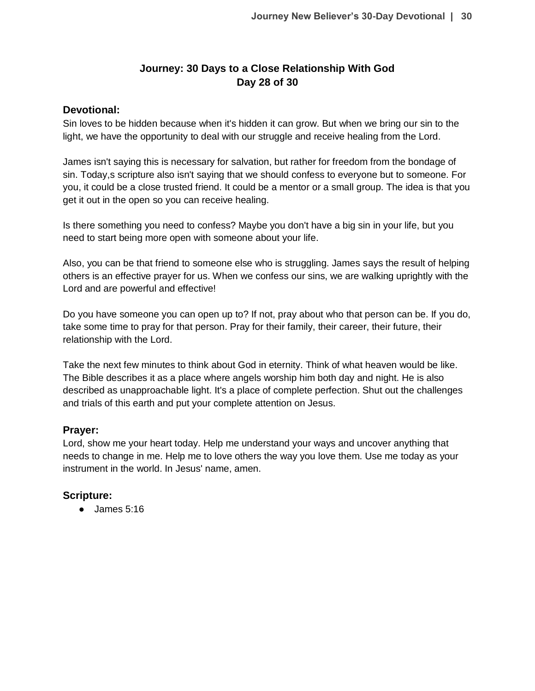# **Journey: 30 Days to a Close Relationship With God Day 28 of 30**

### **Devotional:**

Sin loves to be hidden because when it's hidden it can grow. But when we bring our sin to the light, we have the opportunity to deal with our struggle and receive healing from the Lord.

James isn't saying this is necessary for salvation, but rather for freedom from the bondage of sin. Today,s scripture also isn't saying that we should confess to everyone but to someone. For you, it could be a close trusted friend. It could be a mentor or a small group. The idea is that you get it out in the open so you can receive healing.

Is there something you need to confess? Maybe you don't have a big sin in your life, but you need to start being more open with someone about your life.

Also, you can be that friend to someone else who is struggling. James says the result of helping others is an effective prayer for us. When we confess our sins, we are walking uprightly with the Lord and are powerful and effective!

Do you have someone you can open up to? If not, pray about who that person can be. If you do, take some time to pray for that person. Pray for their family, their career, their future, their relationship with the Lord.

Take the next few minutes to think about God in eternity. Think of what heaven would be like. The Bible describes it as a place where angels worship him both day and night. He is also described as unapproachable light. It's a place of complete perfection. Shut out the challenges and trials of this earth and put your complete attention on Jesus.

### **Prayer:**

Lord, show me your heart today. Help me understand your ways and uncover anything that needs to change in me. Help me to love others the way you love them. Use me today as your instrument in the world. In Jesus' name, amen.

# **Scripture:**

● James 5:16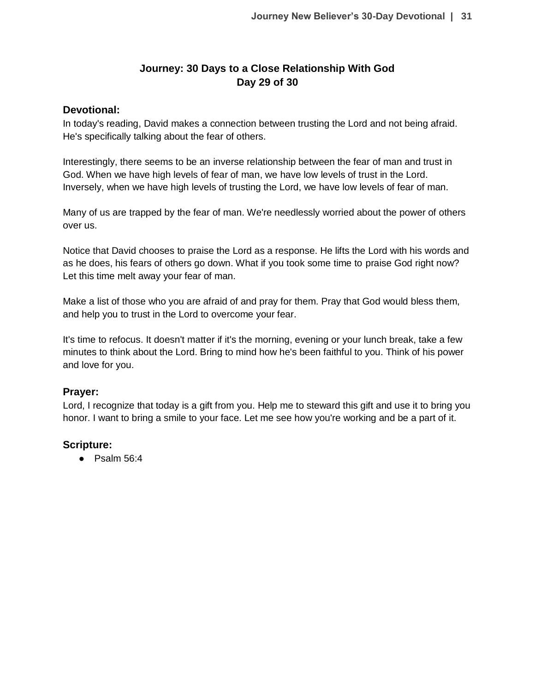# **Journey: 30 Days to a Close Relationship With God Day 29 of 30**

### **Devotional:**

In today's reading, David makes a connection between trusting the Lord and not being afraid. He's specifically talking about the fear of others.

Interestingly, there seems to be an inverse relationship between the fear of man and trust in God. When we have high levels of fear of man, we have low levels of trust in the Lord. Inversely, when we have high levels of trusting the Lord, we have low levels of fear of man.

Many of us are trapped by the fear of man. We're needlessly worried about the power of others over us.

Notice that David chooses to praise the Lord as a response. He lifts the Lord with his words and as he does, his fears of others go down. What if you took some time to praise God right now? Let this time melt away your fear of man.

Make a list of those who you are afraid of and pray for them. Pray that God would bless them, and help you to trust in the Lord to overcome your fear.

It's time to refocus. It doesn't matter if it's the morning, evening or your lunch break, take a few minutes to think about the Lord. Bring to mind how he's been faithful to you. Think of his power and love for you.

# **Prayer:**

Lord, I recognize that today is a gift from you. Help me to steward this gift and use it to bring you honor. I want to bring a smile to your face. Let me see how you're working and be a part of it.

# **Scripture:**

● Psalm 56:4